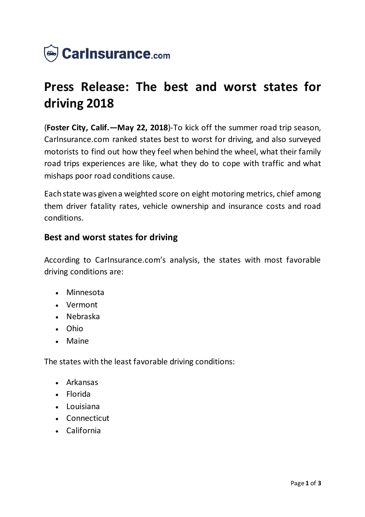

# **Press Release: The best and worst states for driving 2018**

(**Foster City, Calif.—May 22, 2018**)-To kick off the summer road trip season, CarInsurance.com ranked states best to worst for driving, and also surveyed motorists to find out how they feel when behind the wheel, what their family road trips experiences are like, what they do to cope with traffic and what mishaps poor road conditions cause.

Each state was given a weighted score on eight motoring metrics, chief among them driver fatality rates, vehicle ownership and insurance costs and road conditions.

## **Best and worst states for driving**

According to CarInsurance.com's analysis, the states with most favorable driving conditions are:

- Minnesota
- Vermont
- Nebraska
- Ohio
- Maine

The states with the least favorable driving conditions:

- Arkansas
- Florida
- Louisiana
- Connecticut
- California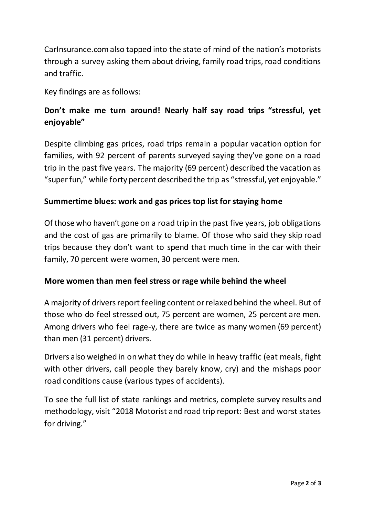CarInsurance.com also tapped into the state of mind of the nation's motorists through a survey asking them about driving, family road trips, road conditions and traffic.

Key findings are as follows:

## **Don't make me turn around! Nearly half say road trips "stressful, yet enjoyable"**

Despite climbing gas prices, road trips remain a popular vacation option for families, with 92 percent of parents surveyed saying they've gone on a road trip in the past five years. The majority (69 percent) described the vacation as "super fun," while forty percent described the trip as "stressful, yet enjoyable."

## **Summertime blues: work and gas prices top list for staying home**

Of those who haven't gone on a road trip in the past five years, job obligations and the cost of gas are primarily to blame. Of those who said they skip road trips because they don't want to spend that much time in the car with their family, 70 percent were women, 30 percent were men.

#### **More women than men feel stress or rage while behind the wheel**

A majority of drivers report feeling content or relaxed behind the wheel. But of those who do feel stressed out, 75 percent are women, 25 percent are men. Among drivers who feel rage-y, there are twice as many women (69 percent) than men (31 percent) drivers.

Drivers also weighed in on what they do while in heavy traffic (eat meals, fight with other drivers, call people they barely know, cry) and the mishaps poor road conditions cause (various types of accidents).

To see the full list of state rankings and metrics, complete survey results and methodology, visit "2018 Motorist and road trip report: Best and worst states for driving."